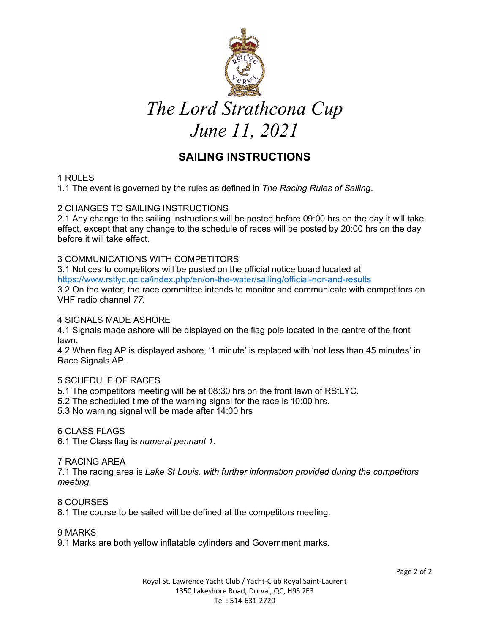

# **SAILING INSTRUCTIONS**

# 1 RULES

1.1 The event is governed by the rules as defined in *The Racing Rules of Sailing*.

## 2 CHANGES TO SAILING INSTRUCTIONS

2.1 Any change to the sailing instructions will be posted before 09:00 hrs on the day it will take effect, except that any change to the schedule of races will be posted by 20:00 hrs on the day before it will take effect.

## 3 COMMUNICATIONS WITH COMPETITORS

3.1 Notices to competitors will be posted on the official notice board located at https://www.rstlyc.qc.ca/index.php/en/on-the-water/sailing/official-nor-and-results 3.2 On the water, the race committee intends to monitor and communicate with competitors on VHF radio channel *77.* 

#### 4 SIGNALS MADE ASHORE

4.1 Signals made ashore will be displayed on the flag pole located in the centre of the front lawn.

4.2 When flag AP is displayed ashore, '1 minute' is replaced with 'not less than 45 minutes' in Race Signals AP.

## 5 SCHEDULE OF RACES

5.1 The competitors meeting will be at 08:30 hrs on the front lawn of RStLYC.

- 5.2 The scheduled time of the warning signal for the race is 10:00 hrs.
- 5.3 No warning signal will be made after 14:00 hrs

#### 6 CLASS FLAGS

6.1 The Class flag is *numeral pennant 1.* 

## 7 RACING AREA

7.1 The racing area is *Lake St Louis, with further information provided during the competitors meeting.*

#### 8 COURSES

8.1 The course to be sailed will be defined at the competitors meeting.

#### 9 MARKS

9.1 Marks are both yellow inflatable cylinders and Government marks.